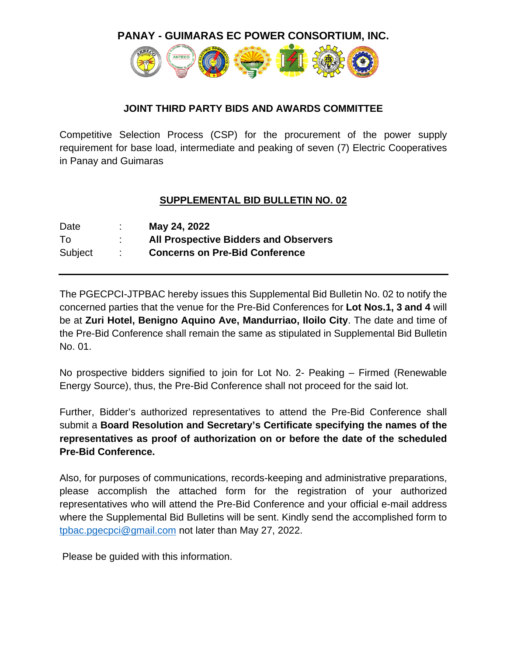**PANAY - GUIMARAS EC POWER CONSORTIUM, INC.**



#### **JOINT THIRD PARTY BIDS AND AWARDS COMMITTEE**

Competitive Selection Process (CSP) for the procurement of the power supply requirement for base load, intermediate and peaking of seven (7) Electric Cooperatives in Panay and Guimaras

### **SUPPLEMENTAL BID BULLETIN NO. 02**

| Date    | May 24, 2022                                 |
|---------|----------------------------------------------|
| To.     | <b>All Prospective Bidders and Observers</b> |
| Subject | <b>Concerns on Pre-Bid Conference</b>        |

The PGECPCI-JTPBAC hereby issues this Supplemental Bid Bulletin No. 02 to notify the concerned parties that the venue for the Pre-Bid Conferences for **Lot Nos.1, 3 and 4** will be at **Zuri Hotel, Benigno Aquino Ave, Mandurriao, Iloilo City**. The date and time of the Pre-Bid Conference shall remain the same as stipulated in Supplemental Bid Bulletin No. 01.

No prospective bidders signified to join for Lot No. 2- Peaking – Firmed (Renewable Energy Source), thus, the Pre-Bid Conference shall not proceed for the said lot.

Further, Bidder's authorized representatives to attend the Pre-Bid Conference shall submit a **Board Resolution and Secretary's Certificate specifying the names of the representatives as proof of authorization on or before the date of the scheduled Pre-Bid Conference.**

Also, for purposes of communications, records-keeping and administrative preparations, please accomplish the attached form for the registration of your authorized representatives who will attend the Pre-Bid Conference and your official e-mail address where the Supplemental Bid Bulletins will be sent. Kindly send the accomplished form to [tpbac.pgecpci@gmail.com](mailto:tpbac.pgecpci@gmail.com) not later than May 27, 2022.

Please be guided with this information.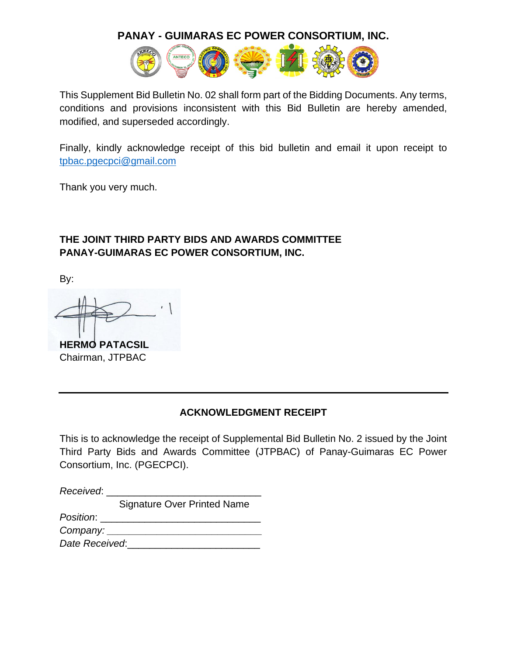#### **PANAY - GUIMARAS EC POWER CONSORTIUM, INC.**



This Supplement Bid Bulletin No. 02 shall form part of the Bidding Documents. Any terms, conditions and provisions inconsistent with this Bid Bulletin are hereby amended, modified, and superseded accordingly.

Finally, kindly acknowledge receipt of this bid bulletin and email it upon receipt to [tpbac.pgecpci@gmail.com](mailto:tpbac.pgecpci@gmail.com)

Thank you very much.

### **THE JOINT THIRD PARTY BIDS AND AWARDS COMMITTEE PANAY-GUIMARAS EC POWER CONSORTIUM, INC.**

By:

**HERMO PATACSIL** Chairman, JTPBAC

#### **ACKNOWLEDGMENT RECEIPT**

This is to acknowledge the receipt of Supplemental Bid Bulletin No. 2 issued by the Joint Third Party Bids and Awards Committee (JTPBAC) of Panay-Guimaras EC Power Consortium, Inc. (PGECPCI).

| Received:               |                                    |
|-------------------------|------------------------------------|
|                         | <b>Signature Over Printed Name</b> |
| Position:               |                                    |
| Company:                |                                    |
| $D = 1 - D = 1 - 1 - 1$ |                                    |

*Date Received*:\_\_\_\_\_\_\_\_\_\_\_\_\_\_\_\_\_\_\_\_\_\_\_\_